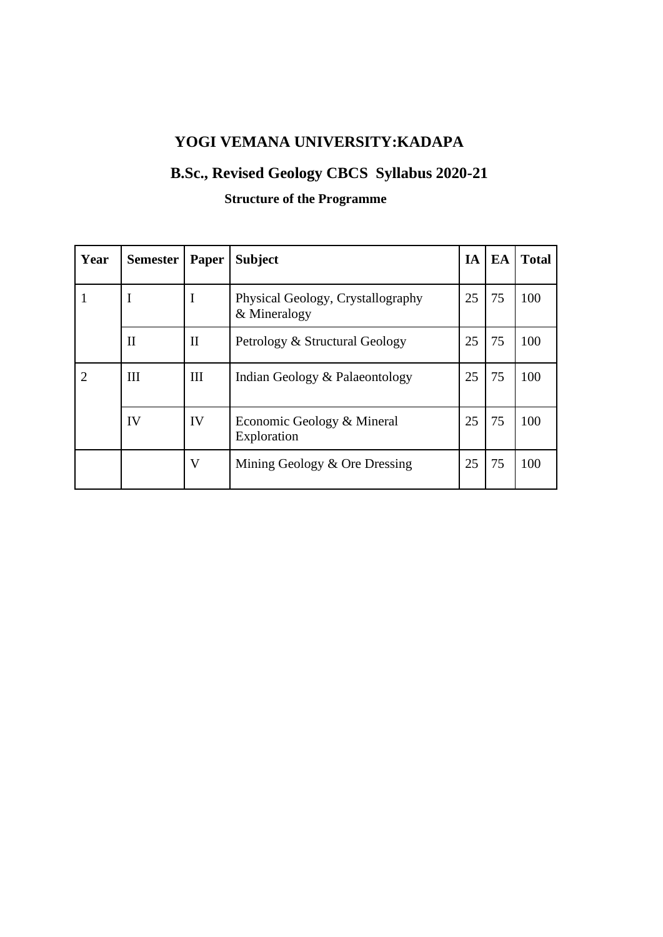# **YOGI VEMANA UNIVERSITY:KADAPA**

# **B.Sc., Revised Geology CBCS Syllabus 2020-21**

# **Structure of the Programme**

| Year                        | Semester     | Paper        | <b>Subject</b>                                    | IA | EA | <b>Total</b> |
|-----------------------------|--------------|--------------|---------------------------------------------------|----|----|--------------|
| 1                           | I            | I            | Physical Geology, Crystallography<br>& Mineralogy | 25 | 75 | 100          |
|                             | $\mathbf{H}$ | $\mathbf{I}$ | Petrology & Structural Geology                    | 25 | 75 | 100          |
| $\mathcal{D}_{\mathcal{L}}$ | Ш            | III          | Indian Geology & Palaeontology                    | 25 | 75 | 100          |
|                             | IV           | IV           | Economic Geology & Mineral<br>Exploration         | 25 | 75 | 100          |
|                             |              | V            | Mining Geology & Ore Dressing                     | 25 | 75 | 100          |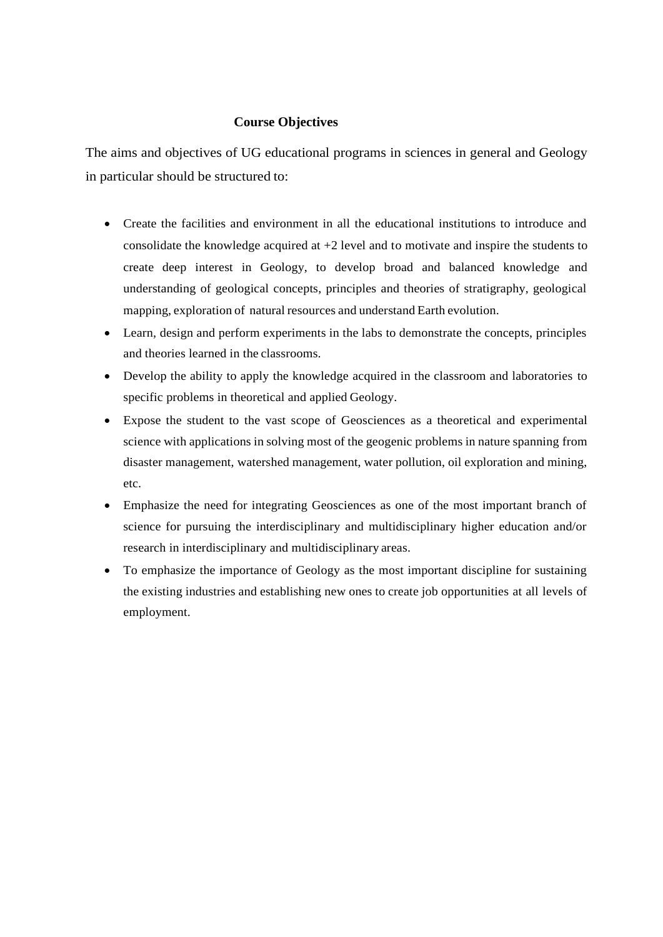#### **Course Objectives**

The aims and objectives of UG educational programs in sciences in general and Geology in particular should be structured to:

- Create the facilities and environment in all the educational institutions to introduce and consolidate the knowledge acquired at +2 level and to motivate and inspire the students to create deep interest in Geology, to develop broad and balanced knowledge and understanding of geological concepts, principles and theories of stratigraphy, geological mapping, exploration of natural resources and understand Earth evolution.
- Learn, design and perform experiments in the labs to demonstrate the concepts, principles and theories learned in the classrooms.
- Develop the ability to apply the knowledge acquired in the classroom and laboratories to specific problems in theoretical and applied Geology.
- Expose the student to the vast scope of Geosciences as a theoretical and experimental science with applications in solving most of the geogenic problems in nature spanning from disaster management, watershed management, water pollution, oil exploration and mining, etc.
- Emphasize the need for integrating Geosciences as one of the most important branch of science for pursuing the interdisciplinary and multidisciplinary higher education and/or research in interdisciplinary and multidisciplinary areas.
- To emphasize the importance of Geology as the most important discipline for sustaining the existing industries and establishing new ones to create job opportunities at all levels of employment.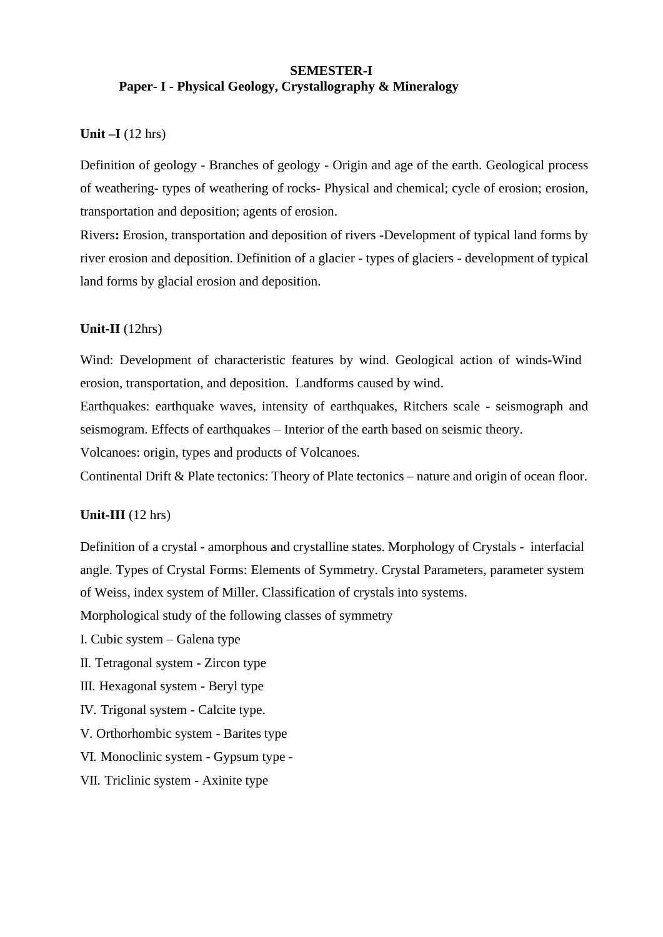#### **SEMESTER-I Paper- I - Physical Geology, Crystallography & Mineralogy**

#### **Unit –I** (12 hrs)

Definition of geology - Branches of geology - Origin and age of the earth. Geological process of weathering- types of weathering of rocks- Physical and chemical; cycle of erosion; erosion, transportation and deposition; agents of erosion.

Rivers**:** Erosion, transportation and deposition of rivers -Development of typical land forms by river erosion and deposition. Definition of a glacier - types of glaciers - development of typical land forms by glacial erosion and deposition.

#### **Unit-II** (12hrs)

Wind: Development of characteristic features by wind. Geological action of winds-Wind erosion, transportation, and deposition. Landforms caused by wind.

Earthquakes: earthquake waves, intensity of earthquakes, Ritchers scale - seismograph and seismogram. Effects of earthquakes – Interior of the earth based on seismic theory.

Volcanoes: origin, types and products of Volcanoes.

Continental Drift & Plate tectonics: Theory of Plate tectonics – nature and origin of ocean floor.

#### **Unit-III** (12 hrs)

Definition of a crystal - amorphous and crystalline states. Morphology of Crystals - interfacial angle. Types of Crystal Forms: Elements of Symmetry. Crystal Parameters, parameter system of Weiss, index system of Miller. Classification of crystals into systems.

Morphological study of the following classes of symmetry

I. Cubic system – Galena type

II. Tetragonal system - Zircon type

III. Hexagonal system - Beryl type

IV. Trigonal system - Calcite type.

V. Orthorhombic system - Barites type

VI. Monoclinic system - Gypsum type -

#### VII. Triclinic system - Axinite type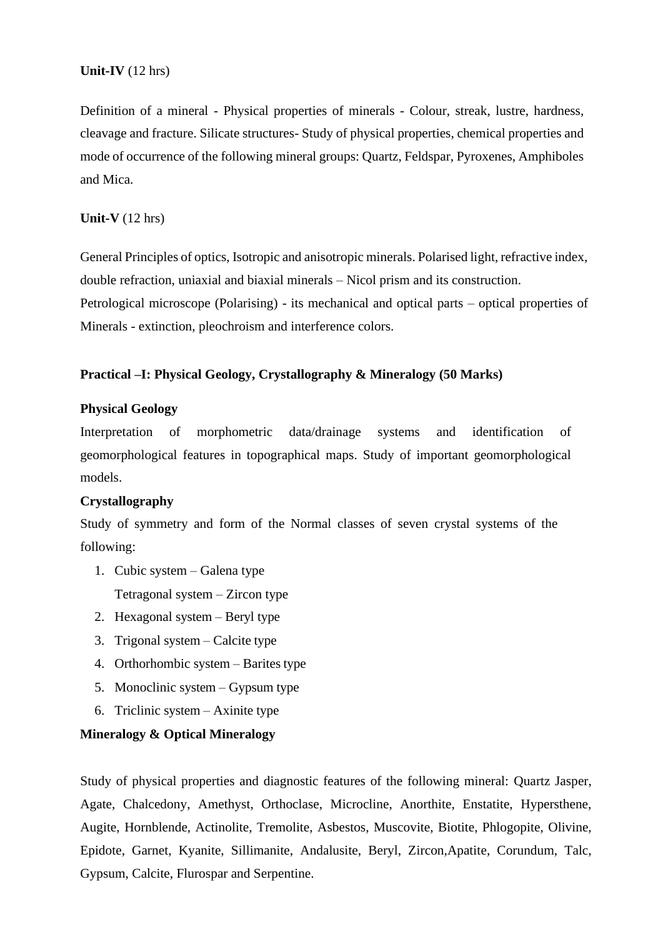## **Unit-IV** (12 hrs)

Definition of a mineral - Physical properties of minerals - Colour, streak, lustre, hardness, cleavage and fracture. Silicate structures- Study of physical properties, chemical properties and mode of occurrence of the following mineral groups: Quartz, Feldspar, Pyroxenes, Amphiboles and Mica.

#### **Unit-V** (12 hrs)

General Principles of optics, Isotropic and anisotropic minerals. Polarised light, refractive index, double refraction, uniaxial and biaxial minerals – Nicol prism and its construction. Petrological microscope (Polarising) - its mechanical and optical parts – optical properties of Minerals - extinction, pleochroism and interference colors.

## **Practical –I: Physical Geology, Crystallography & Mineralogy (50 Marks)**

#### **Physical Geology**

Interpretation of morphometric data/drainage systems and identification of geomorphological features in topographical maps. Study of important geomorphological models.

## **Crystallography**

Study of symmetry and form of the Normal classes of seven crystal systems of the following:

1. Cubic system – Galena type

Tetragonal system – Zircon type

- 2. Hexagonal system Beryl type
- 3. Trigonal system Calcite type
- 4. Orthorhombic system Barites type
- 5. Monoclinic system Gypsum type
- 6. Triclinic system Axinite type

#### **Mineralogy & Optical Mineralogy**

Study of physical properties and diagnostic features of the following mineral: Quartz Jasper, Agate, Chalcedony, Amethyst, Orthoclase, Microcline, Anorthite, Enstatite, Hypersthene, Augite, Hornblende, Actinolite, Tremolite, Asbestos, Muscovite, Biotite, Phlogopite, Olivine, Epidote, Garnet, Kyanite, Sillimanite, Andalusite, Beryl, Zircon,Apatite, Corundum, Talc, Gypsum, Calcite, Flurospar and Serpentine.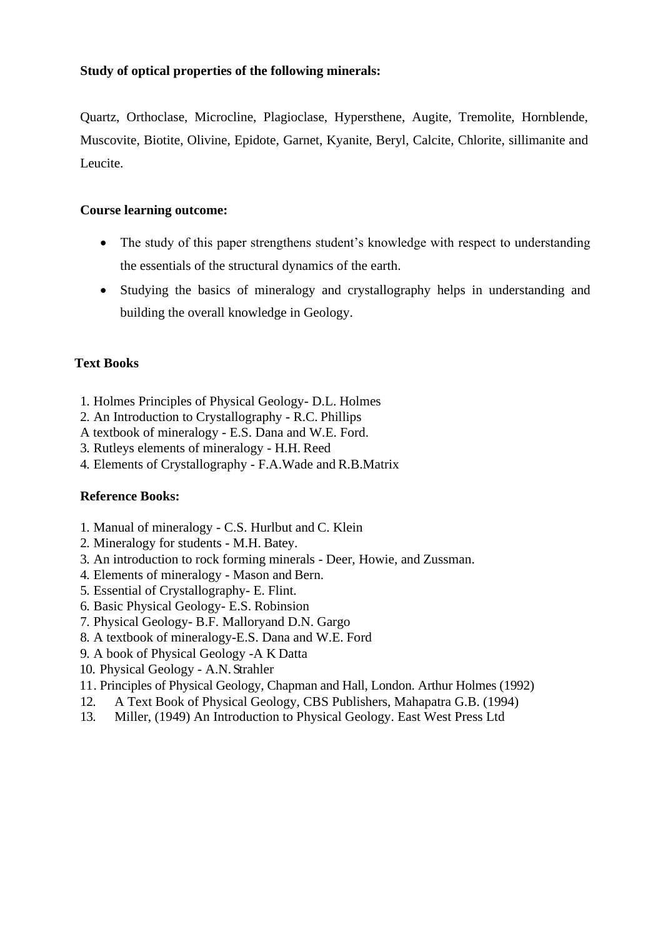## **Study of optical properties of the following minerals:**

Quartz, Orthoclase, Microcline, Plagioclase, Hypersthene, Augite, Tremolite, Hornblende, Muscovite, Biotite, Olivine, Epidote, Garnet, Kyanite, Beryl, Calcite, Chlorite, sillimanite and Leucite.

## **Course learning outcome:**

- The study of this paper strengthens student's knowledge with respect to understanding the essentials of the structural dynamics of the earth.
- Studying the basics of mineralogy and crystallography helps in understanding and building the overall knowledge in Geology.

## **Text Books**

- 1. Holmes Principles of Physical Geology- D.L. Holmes
- 2. An Introduction to Crystallography R.C. Phillips
- A textbook of mineralogy E.S. Dana and W.E. Ford.
- 3. Rutleys elements of mineralogy H.H. Reed
- 4. Elements of Crystallography F.A.Wade and R.B.Matrix

- 1. Manual of mineralogy C.S. Hurlbut and C. Klein
- 2. Mineralogy for students M.H. Batey.
- 3. An introduction to rock forming minerals Deer, Howie, and Zussman.
- 4. Elements of mineralogy Mason and Bern.
- 5. Essential of Crystallography- E. Flint.
- 6. Basic Physical Geology- E.S. Robinsion
- 7. Physical Geology- B.F. Malloryand D.N. Gargo
- 8. A textbook of mineralogy-E.S. Dana and W.E. Ford
- 9. A book of Physical Geology -A K Datta
- 10. Physical Geology A.N. Strahler
- 11. Principles of Physical Geology, Chapman and Hall, London. Arthur Holmes (1992)
- 12. A Text Book of Physical Geology, CBS Publishers, Mahapatra G.B. (1994)
- 13. Miller, (1949) An Introduction to Physical Geology. East West Press Ltd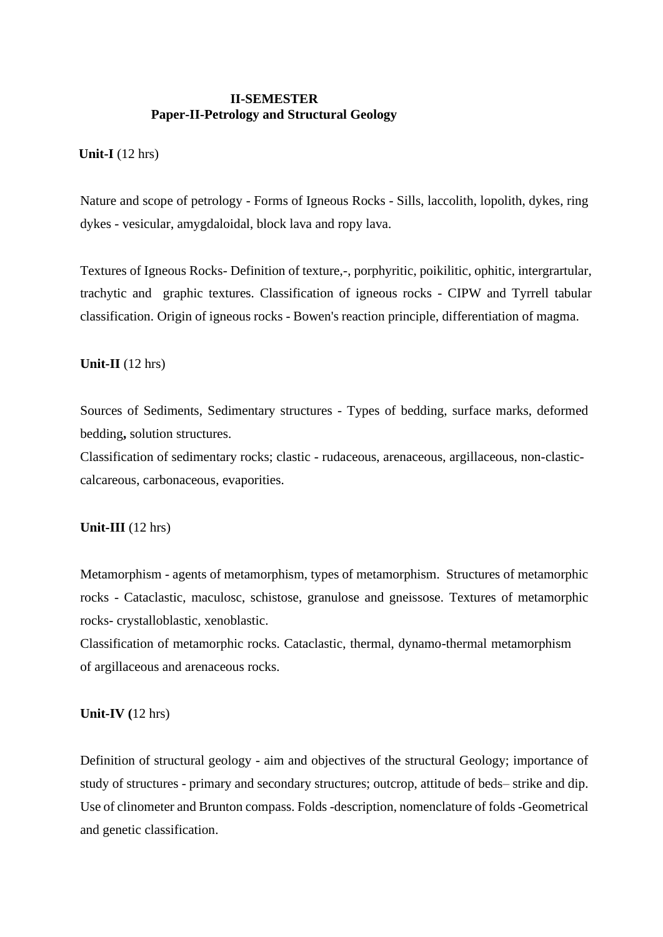### **II-SEMESTER Paper-II-Petrology and Structural Geology**

#### **Unit-I** (12 hrs)

Nature and scope of petrology - Forms of Igneous Rocks - Sills, laccolith, lopolith, dykes, ring dykes - vesicular, amygdaloidal, block lava and ropy lava.

Textures of Igneous Rocks- Definition of texture,-, porphyritic, poikilitic, ophitic, intergrartular, trachytic and graphic textures. Classification of igneous rocks - CIPW and Tyrrell tabular classification. Origin of igneous rocks - Bowen's reaction principle, differentiation of magma.

#### **Unit-II** (12 hrs)

Sources of Sediments, Sedimentary structures - Types of bedding, surface marks, deformed bedding**,** solution structures.

Classification of sedimentary rocks; clastic - rudaceous, arenaceous, argillaceous, non-clasticcalcareous, carbonaceous, evaporities.

#### **Unit-III** (12 hrs)

Metamorphism - agents of metamorphism, types of metamorphism. Structures of metamorphic rocks - Cataclastic, maculosc, schistose, granulose and gneissose. Textures of metamorphic rocks- crystalloblastic, xenoblastic.

Classification of metamorphic rocks. Cataclastic, thermal, dynamo-thermal metamorphism of argillaceous and arenaceous rocks.

#### **Unit-IV (**12 hrs)

Definition of structural geology - aim and objectives of the structural Geology; importance of study of structures - primary and secondary structures; outcrop, attitude of beds– strike and dip. Use of clinometer and Brunton compass. Folds -description, nomenclature of folds -Geometrical and genetic classification.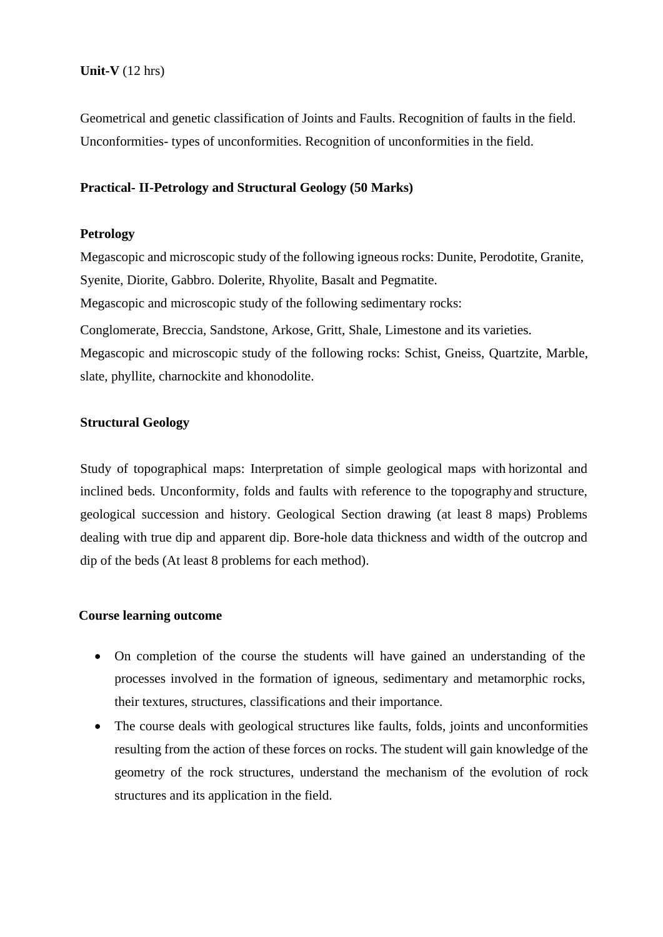## **Unit-V** (12 hrs)

Geometrical and genetic classification of Joints and Faults. Recognition of faults in the field. Unconformities- types of unconformities. Recognition of unconformities in the field.

#### **Practical- II-Petrology and Structural Geology (50 Marks)**

#### **Petrology**

Megascopic and microscopic study of the following igneous rocks: Dunite, Perodotite, Granite, Syenite, Diorite, Gabbro. Dolerite, Rhyolite, Basalt and Pegmatite. Megascopic and microscopic study of the following sedimentary rocks: Conglomerate, Breccia, Sandstone, Arkose, Gritt, Shale, Limestone and its varieties. Megascopic and microscopic study of the following rocks: Schist, Gneiss, Quartzite, Marble, slate, phyllite, charnockite and khonodolite.

#### **Structural Geology**

Study of topographical maps: Interpretation of simple geological maps with horizontal and inclined beds. Unconformity, folds and faults with reference to the topographyand structure, geological succession and history. Geological Section drawing (at least 8 maps) Problems dealing with true dip and apparent dip. Bore-hole data thickness and width of the outcrop and dip of the beds (At least 8 problems for each method).

#### **Course learning outcome**

- On completion of the course the students will have gained an understanding of the processes involved in the formation of igneous, sedimentary and metamorphic rocks, their textures, structures, classifications and their importance.
- The course deals with geological structures like faults, folds, joints and unconformities resulting from the action of these forces on rocks. The student will gain knowledge of the geometry of the rock structures, understand the mechanism of the evolution of rock structures and its application in the field.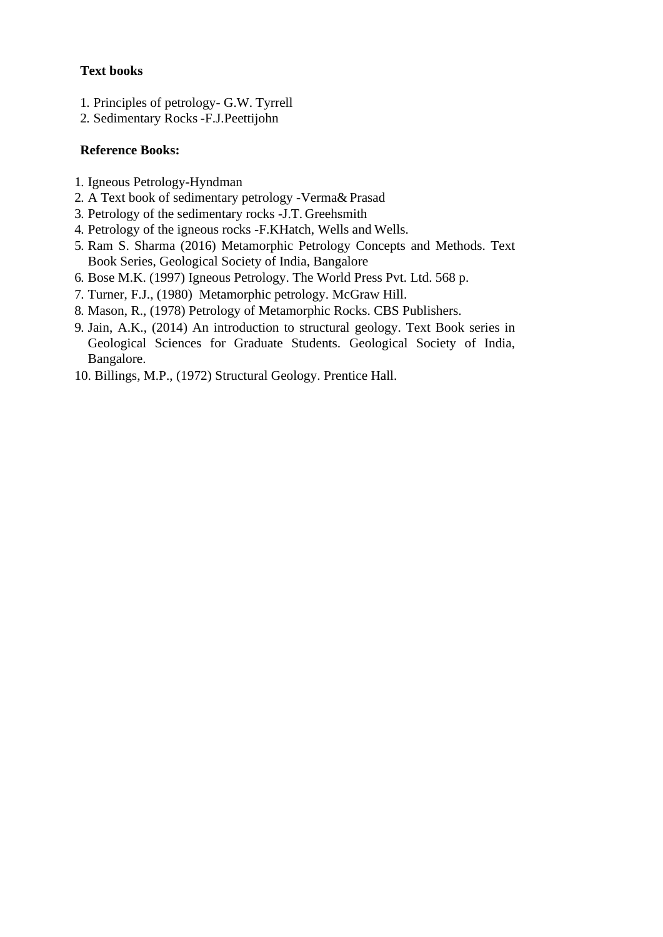## **Text books**

- 1. Principles of petrology- G.W. Tyrrell
- 2. Sedimentary Rocks -F.J.Peettijohn

- 1. Igneous Petrology-Hyndman
- 2. A Text book of sedimentary petrology -Verma& Prasad
- 3. Petrology of the sedimentary rocks -J.T. Greehsmith
- 4. Petrology of the igneous rocks -F.KHatch, Wells and Wells.
- 5. Ram S. Sharma (2016) Metamorphic Petrology Concepts and Methods. Text Book Series, Geological Society of India, Bangalore
- 6. Bose M.K. (1997) Igneous Petrology. The World Press Pvt. Ltd. 568 p.
- 7. Turner, F.J., (1980) Metamorphic petrology. McGraw Hill.
- 8. Mason, R., (1978) Petrology of Metamorphic Rocks. CBS Publishers.
- 9. Jain, A.K., (2014) An introduction to structural geology. Text Book series in Geological Sciences for Graduate Students. Geological Society of India, Bangalore.
- 10. Billings, M.P., (1972) Structural Geology. Prentice Hall.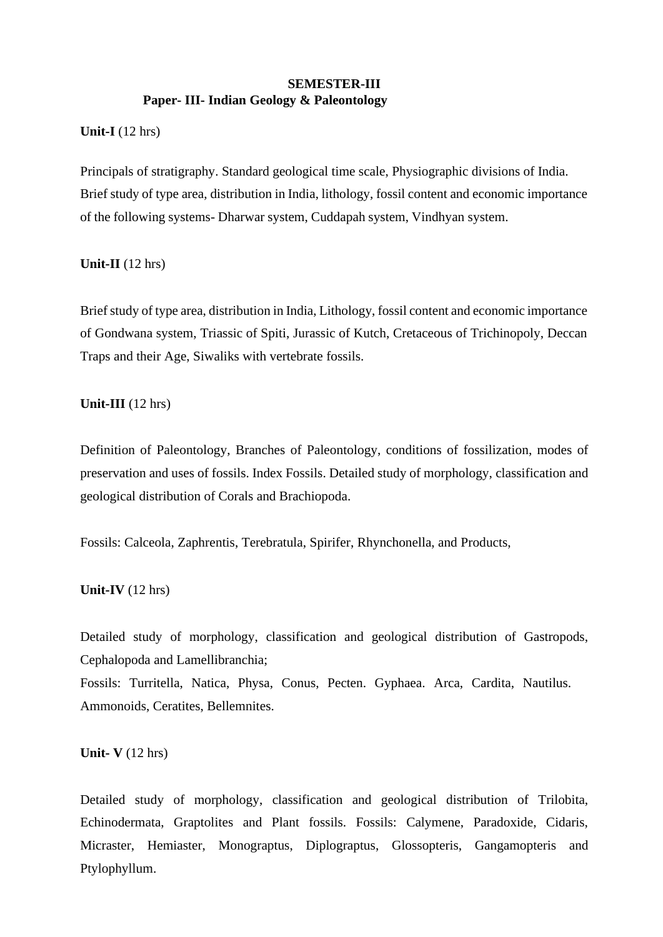### **SEMESTER-III Paper- III- Indian Geology & Paleontology**

### **Unit-I** (12 hrs)

Principals of stratigraphy. Standard geological time scale, Physiographic divisions of India. Brief study of type area, distribution in India, lithology, fossil content and economic importance of the following systems- Dharwar system, Cuddapah system, Vindhyan system.

#### **Unit-II** (12 hrs)

Brief study of type area, distribution in India, Lithology, fossil content and economic importance of Gondwana system, Triassic of Spiti, Jurassic of Kutch, Cretaceous of Trichinopoly, Deccan Traps and their Age, Siwaliks with vertebrate fossils.

## **Unit-III** (12 hrs)

Definition of Paleontology, Branches of Paleontology, conditions of fossilization, modes of preservation and uses of fossils. Index Fossils. Detailed study of morphology, classification and geological distribution of Corals and Brachiopoda.

Fossils: Calceola, Zaphrentis, Terebratula, Spirifer, Rhynchonella, and Products,

## **Unit-IV** (12 hrs)

Detailed study of morphology, classification and geological distribution of Gastropods, Cephalopoda and Lamellibranchia;

Fossils: Turritella, Natica, Physa, Conus, Pecten. Gyphaea. Arca, Cardita, Nautilus. Ammonoids, Ceratites, Bellemnites.

#### **Unit- V** (12 hrs)

Detailed study of morphology, classification and geological distribution of Trilobita, Echinodermata, Graptolites and Plant fossils. Fossils: Calymene, Paradoxide, Cidaris, Micraster, Hemiaster, Monograptus, Diplograptus, Glossopteris, Gangamopteris and Ptylophyllum.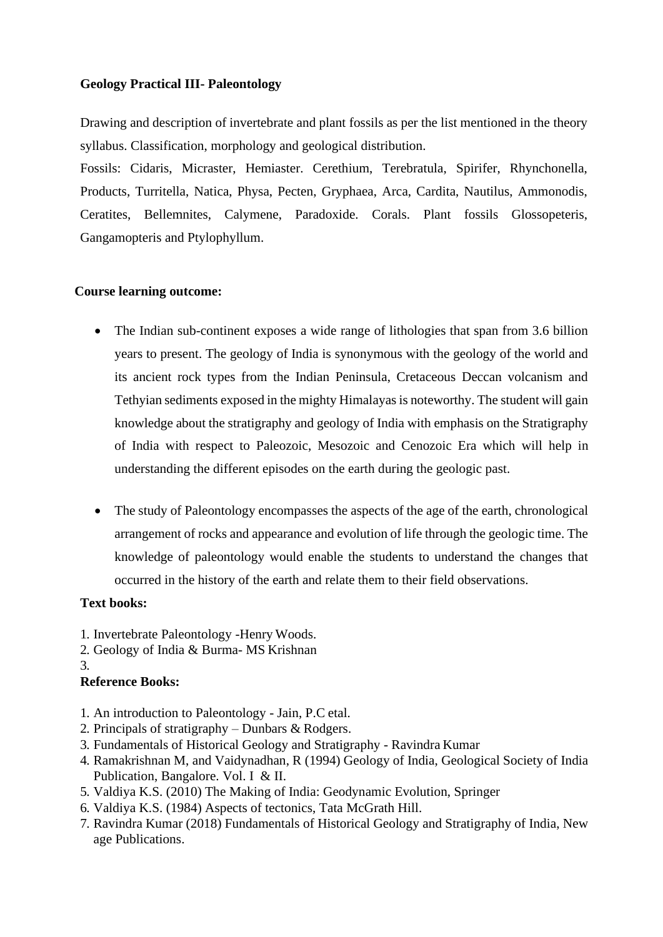## **Geology Practical III- Paleontology**

Drawing and description of invertebrate and plant fossils as per the list mentioned in the theory syllabus. Classification, morphology and geological distribution.

Fossils: Cidaris, Micraster, Hemiaster. Cerethium, Terebratula, Spirifer, Rhynchonella, Products, Turritella, Natica, Physa, Pecten, Gryphaea, Arca, Cardita, Nautilus, Ammonodis, Ceratites, Bellemnites, Calymene, Paradoxide. Corals. Plant fossils Glossopeteris, Gangamopteris and Ptylophyllum.

## **Course learning outcome:**

- The Indian sub-continent exposes a wide range of lithologies that span from 3.6 billion years to present. The geology of India is synonymous with the geology of the world and its ancient rock types from the Indian Peninsula, Cretaceous Deccan volcanism and Tethyian sediments exposed in the mighty Himalayas is noteworthy. The student will gain knowledge about the stratigraphy and geology of India with emphasis on the Stratigraphy of India with respect to Paleozoic, Mesozoic and Cenozoic Era which will help in understanding the different episodes on the earth during the geologic past.
- The study of Paleontology encompasses the aspects of the age of the earth, chronological arrangement of rocks and appearance and evolution of life through the geologic time. The knowledge of paleontology would enable the students to understand the changes that occurred in the history of the earth and relate them to their field observations.

## **Text books:**

- 1. Invertebrate Paleontology -Henry Woods.
- 2. Geology of India & Burma- MS Krishnan
- 3.

- 1. An introduction to Paleontology Jain, P.C etal.
- 2. Principals of stratigraphy Dunbars & Rodgers.
- 3. Fundamentals of Historical Geology and Stratigraphy Ravindra Kumar
- 4. Ramakrishnan M, and Vaidynadhan, R (1994) Geology of India, Geological Society of India Publication, Bangalore. Vol. I & II.
- 5. Valdiya K.S. (2010) The Making of India: Geodynamic Evolution, Springer
- 6. Valdiya K.S. (1984) Aspects of tectonics, Tata McGrath Hill.
- 7. Ravindra Kumar (2018) Fundamentals of Historical Geology and Stratigraphy of India, New age Publications.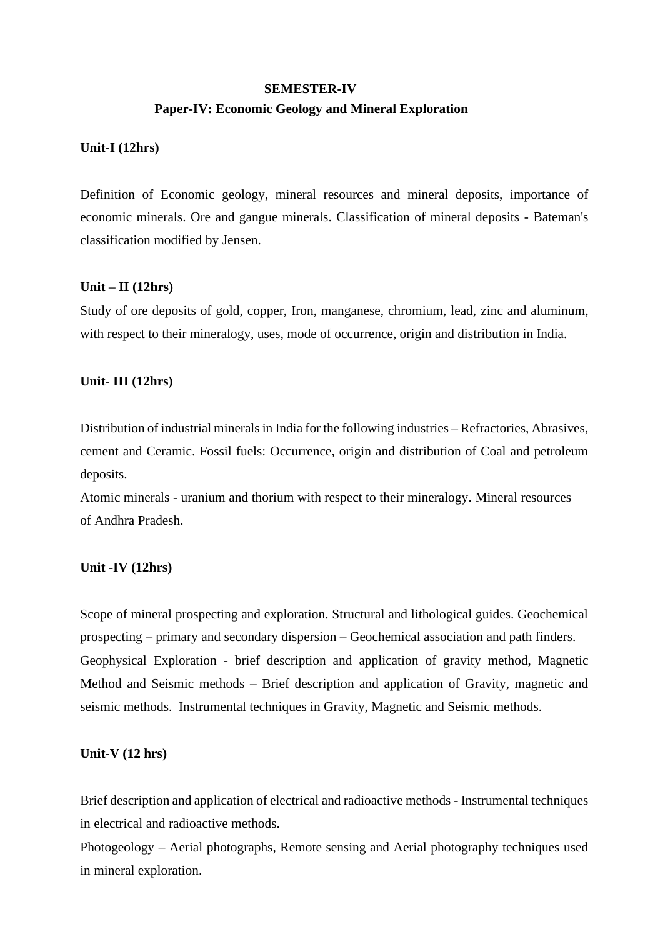# **SEMESTER-IV Paper-IV: Economic Geology and Mineral Exploration**

#### **Unit-I (12hrs)**

Definition of Economic geology, mineral resources and mineral deposits, importance of economic minerals. Ore and gangue minerals. Classification of mineral deposits - Bateman's classification modified by Jensen.

#### **Unit – II (12hrs)**

Study of ore deposits of gold, copper, Iron, manganese, chromium, lead, zinc and aluminum, with respect to their mineralogy, uses, mode of occurrence, origin and distribution in India.

#### **Unit- III (12hrs)**

Distribution of industrial minerals in India for the following industries – Refractories, Abrasives, cement and Ceramic. Fossil fuels: Occurrence, origin and distribution of Coal and petroleum deposits.

Atomic minerals - uranium and thorium with respect to their mineralogy. Mineral resources of Andhra Pradesh.

#### **Unit -IV (12hrs)**

Scope of mineral prospecting and exploration. Structural and lithological guides. Geochemical prospecting – primary and secondary dispersion – Geochemical association and path finders. Geophysical Exploration - brief description and application of gravity method, Magnetic Method and Seismic methods – Brief description and application of Gravity, magnetic and seismic methods. Instrumental techniques in Gravity, Magnetic and Seismic methods.

#### **Unit-V (12 hrs)**

Brief description and application of electrical and radioactive methods - Instrumental techniques in electrical and radioactive methods.

Photogeology – Aerial photographs, Remote sensing and Aerial photography techniques used in mineral exploration.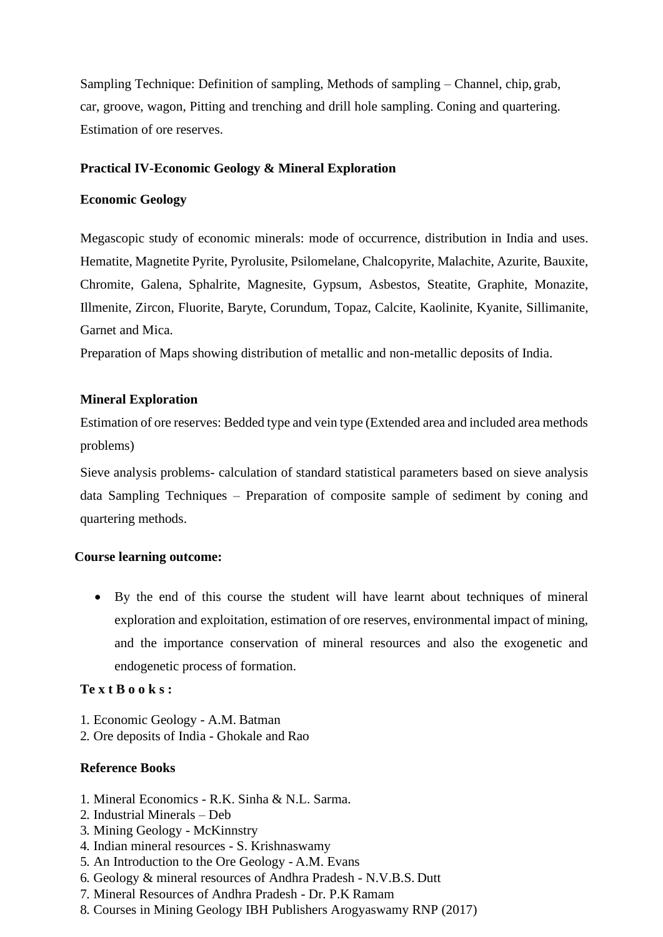Sampling Technique: Definition of sampling, Methods of sampling – Channel, chip, grab, car, groove, wagon, Pitting and trenching and drill hole sampling. Coning and quartering. Estimation of ore reserves.

#### **Practical IV-Economic Geology & Mineral Exploration**

#### **Economic Geology**

Megascopic study of economic minerals: mode of occurrence, distribution in India and uses. Hematite, Magnetite Pyrite, Pyrolusite, Psilomelane, Chalcopyrite, Malachite, Azurite, Bauxite, Chromite, Galena, Sphalrite, Magnesite, Gypsum, Asbestos, Steatite, Graphite, Monazite, Illmenite, Zircon, Fluorite, Baryte, Corundum, Topaz, Calcite, Kaolinite, Kyanite, Sillimanite, Garnet and Mica.

Preparation of Maps showing distribution of metallic and non-metallic deposits of India.

## **Mineral Exploration**

Estimation of ore reserves: Bedded type and vein type (Extended area and included area methods problems)

Sieve analysis problems- calculation of standard statistical parameters based on sieve analysis data Sampling Techniques – Preparation of composite sample of sediment by coning and quartering methods.

#### **Course learning outcome:**

• By the end of this course the student will have learnt about techniques of mineral exploration and exploitation, estimation of ore reserves, environmental impact of mining, and the importance conservation of mineral resources and also the exogenetic and endogenetic process of formation.

## **Te x t B o o k s :**

- 1. Economic Geology A.M. Batman
- 2. Ore deposits of India Ghokale and Rao

- 1. Mineral Economics R.K. Sinha & N.L. Sarma.
- 2. Industrial Minerals Deb
- 3. Mining Geology McKinnstry
- 4. Indian mineral resources S. Krishnaswamy
- 5. An Introduction to the Ore Geology A.M. Evans
- 6. Geology & mineral resources of Andhra Pradesh N.V.B.S. Dutt
- 7. Mineral Resources of Andhra Pradesh Dr. P.K Ramam
- 8. Courses in Mining Geology IBH Publishers Arogyaswamy RNP (2017)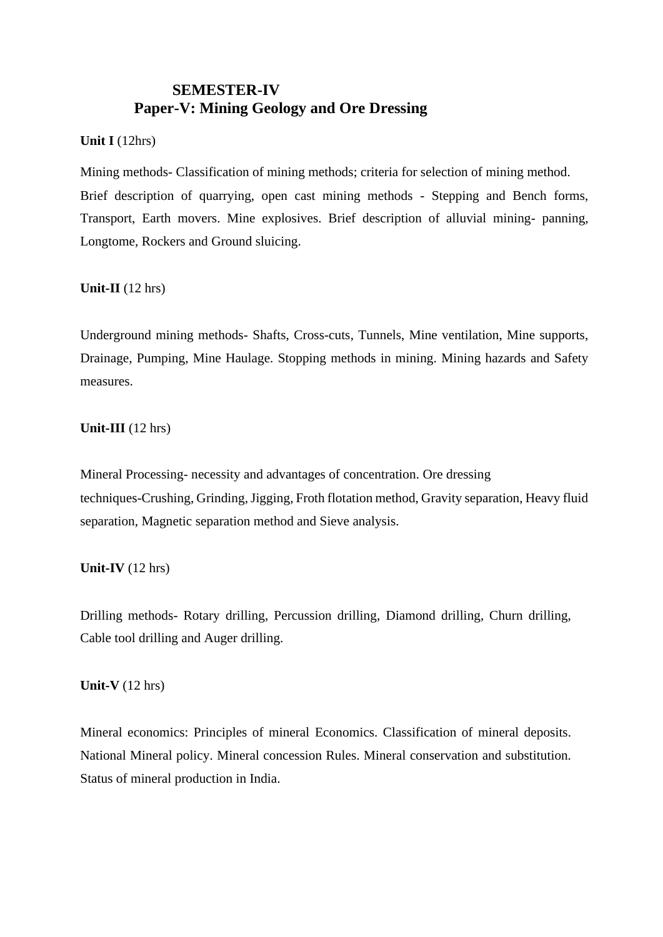## **SEMESTER-IV Paper-V: Mining Geology and Ore Dressing**

**Unit I** (12hrs)

Mining methods- Classification of mining methods; criteria for selection of mining method. Brief description of quarrying, open cast mining methods - Stepping and Bench forms, Transport, Earth movers. Mine explosives. Brief description of alluvial mining- panning, Longtome, Rockers and Ground sluicing.

**Unit-II** (12 hrs)

Underground mining methods- Shafts, Cross-cuts, Tunnels, Mine ventilation, Mine supports, Drainage, Pumping, Mine Haulage. Stopping methods in mining. Mining hazards and Safety measures.

**Unit-III** (12 hrs)

Mineral Processing- necessity and advantages of concentration. Ore dressing techniques-Crushing, Grinding, Jigging, Froth flotation method, Gravity separation, Heavy fluid separation, Magnetic separation method and Sieve analysis.

## **Unit-IV** (12 hrs)

Drilling methods- Rotary drilling, Percussion drilling, Diamond drilling, Churn drilling, Cable tool drilling and Auger drilling.

**Unit-V** (12 hrs)

Mineral economics: Principles of mineral Economics. Classification of mineral deposits. National Mineral policy. Mineral concession Rules. Mineral conservation and substitution. Status of mineral production in India.